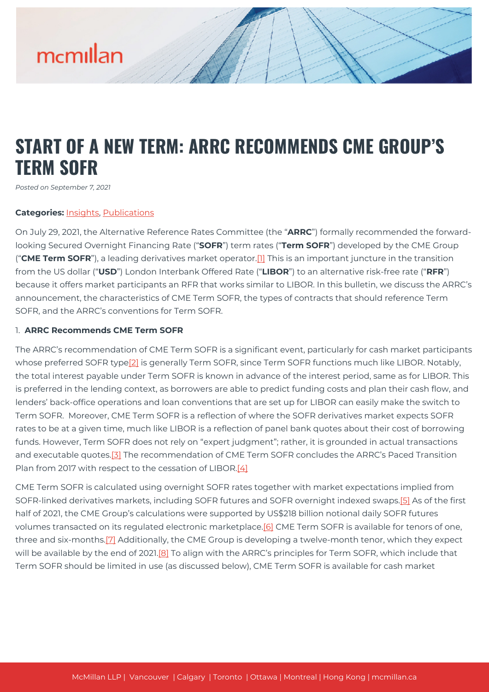### **START OF A NEW TERM: ARRC RECOMMENDS CME GROUP'S TERM SOFR**

*Posted on September 7, 2021*

#### **Categories:** [Insights,](https://mcmillan.ca/insights/) [Publications](https://mcmillan.ca/insights/publications/)

On July 29, 2021, the Alternative Reference Rates Committee (the "**ARRC**") formally recommended the forwardlooking Secured Overnight Financing Rate ("**SOFR**") term rates ("**Term SOFR**") developed by the CME Group ("**CME Term SOFR**"), a leading derivatives market operator.[\[1\]](#page--1-0) This is an important juncture in the transition from the US dollar ("**USD**") London Interbank Offered Rate ("**LIBOR**") to an alternative risk-free rate ("**RFR**") because it offers market participants an RFR that works similar to LIBOR. In this bulletin, we discuss the ARRC's announcement, the characteristics of CME Term SOFR, the types of contracts that should reference Term SOFR, and the ARRC's conventions for Term SOFR.

#### 1. **ARRC Recommends CME Term SOFR**

The ARRC's recommendation of CME Term SOFR is a significant event, particularly for cash market participants whose preferred SOFR type<sup>[2]</sup> is generally Term SOFR, since Term SOFR functions much like LIBOR. Notably, the total interest payable under Term SOFR is known in advance of the interest period, same as for LIBOR. This is preferred in the lending context, as borrowers are able to predict funding costs and plan their cash flow, and lenders' back-office operations and loan conventions that are set up for LIBOR can easily make the switch to Term SOFR. Moreover, CME Term SOFR is a reflection of where the SOFR derivatives market expects SOFR rates to be at a given time, much like LIBOR is a reflection of panel bank quotes about their cost of borrowing funds. However, Term SOFR does not rely on "expert judgment"; rather, it is grounded in actual transactions and executable quotes.[\[3\]](#page--1-0) The recommendation of CME Term SOFR concludes the ARRC's Paced Transition Plan from 2017 with respect to the cessation of LIBOR.[\[4\]](#page--1-0)

CME Term SOFR is calculated using overnight SOFR rates together with market expectations implied from SOFR-linked derivatives markets, including SOFR futures and SOFR overnight indexed swaps[.\[5\]](#page--1-0) As of the first half of 2021, the CME Group's calculations were supported by US\$218 billion notional daily SOFR futures volumes transacted on its regulated electronic marketplace.[\[6\]](#page--1-0) CME Term SOFR is available for tenors of one, three and six-months.[\[7\]](#page--1-0) Additionally, the CME Group is developing a twelve-month tenor, which they expect will be available by the end of 2021.<sup>[8]</sup> To align with the ARRC's principles for Term SOFR, which include that Term SOFR should be limited in use (as discussed below), CME Term SOFR is available for cash market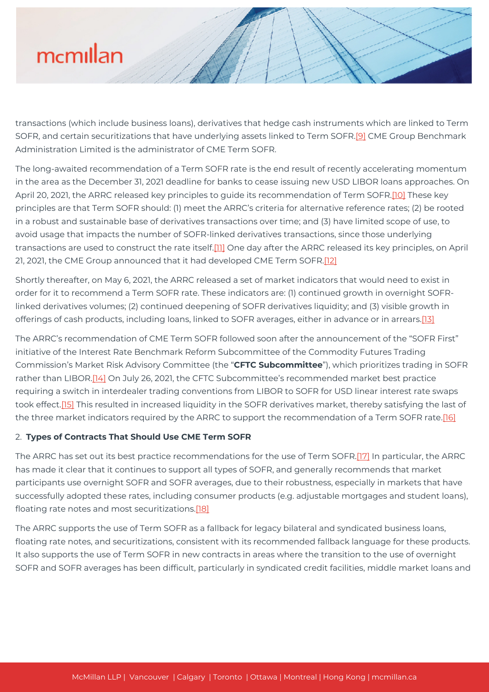transactions (which include business loans), derivatives that hedge cash instruments which are linked to Term SOFR, and certain securitizations that have underlying assets linked to Term SOFR[.\[9\]](#page--1-0) CME Group Benchmark Administration Limited is the administrator of CME Term SOFR.

The long-awaited recommendation of a Term SOFR rate is the end result of recently accelerating momentum in the area as the December 31, 2021 deadline for banks to cease issuing new USD LIBOR loans approaches. On April 20, 2021, the ARRC released key principles to guide its recommendation of Term SOFR[.\[10\]](#page--1-0) These key principles are that Term SOFR should: (1) meet the ARRC's criteria for alternative reference rates; (2) be rooted in a robust and sustainable base of derivatives transactions over time; and (3) have limited scope of use, to avoid usage that impacts the number of SOFR-linked derivatives transactions, since those underlying transactions are used to construct the rate itself[.\[11\]](#page--1-0) One day after the ARRC released its key principles, on April 21, 2021, the CME Group announced that it had developed CME Term SOFR.[\[12\]](#page--1-0)

Shortly thereafter, on May 6, 2021, the ARRC released a set of market indicators that would need to exist in order for it to recommend a Term SOFR rate. These indicators are: (1) continued growth in overnight SOFRlinked derivatives volumes; (2) continued deepening of SOFR derivatives liquidity; and (3) visible growth in offerings of cash products, including loans, linked to SOFR averages, either in advance or in arrears[.\[13\]](#page--1-0)

The ARRC's recommendation of CME Term SOFR followed soon after the announcement of the "SOFR First" initiative of the Interest Rate Benchmark Reform Subcommittee of the Commodity Futures Trading Commission's Market Risk Advisory Committee (the "**CFTC Subcommittee**"), which prioritizes trading in SOFR rather than LIBOR.<sup>[14]</sup> On July 26, 2021, the CFTC Subcommittee's recommended market best practice requiring a switch in interdealer trading conventions from LIBOR to SOFR for USD linear interest rate swaps took effect.[\[15\]](#page--1-0) This resulted in increased liquidity in the SOFR derivatives market, thereby satisfying the last of the three market indicators required by the ARRC to support the recommendation of a Term SOFR rate.<sup>[16]</sup>

### 2. **Types of Contracts That Should Use CME Term SOFR**

The ARRC has set out its best practice recommendations for the use of Term SOFR[.\[17\]](#page--1-0) In particular, the ARRC has made it clear that it continues to support all types of SOFR, and generally recommends that market participants use overnight SOFR and SOFR averages, due to their robustness, especially in markets that have successfully adopted these rates, including consumer products (e.g. adjustable mortgages and student loans), floating rate notes and most securitizations[.\[18\]](#page--1-0)

The ARRC supports the use of Term SOFR as a fallback for legacy bilateral and syndicated business loans, floating rate notes, and securitizations, consistent with its recommended fallback language for these products. It also supports the use of Term SOFR in new contracts in areas where the transition to the use of overnight SOFR and SOFR averages has been difficult, particularly in syndicated credit facilities, middle market loans and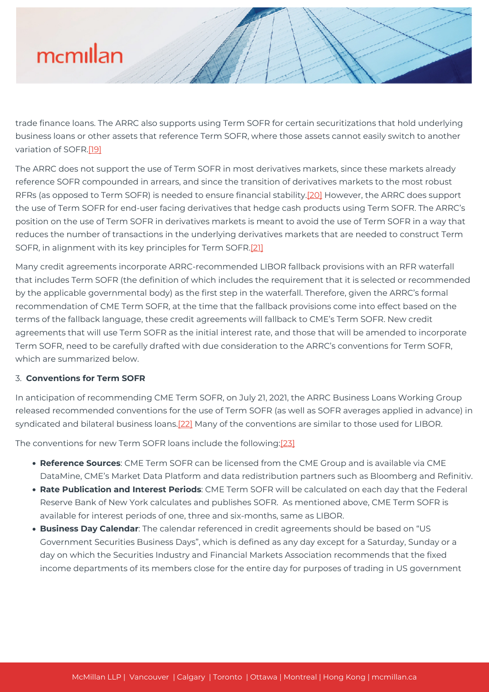trade finance loans. The ARRC also supports using Term SOFR for certain securitizations that hold underlying business loans or other assets that reference Term SOFR, where those assets cannot easily switch to another variation of SOFR.[\[19\]](#page--1-0)

The ARRC does not support the use of Term SOFR in most derivatives markets, since these markets already reference SOFR compounded in arrears, and since the transition of derivatives markets to the most robust RFRs (as opposed to Term SOFR) is needed to ensure financial stability.[\[20\]](#page--1-0) However, the ARRC does support the use of Term SOFR for end-user facing derivatives that hedge cash products using Term SOFR. The ARRC's position on the use of Term SOFR in derivatives markets is meant to avoid the use of Term SOFR in a way that reduces the number of transactions in the underlying derivatives markets that are needed to construct Term SOFR, in alignment with its key principles for Term SOFR[.\[21\]](#page--1-0)

Many credit agreements incorporate ARRC-recommended LIBOR fallback provisions with an RFR waterfall that includes Term SOFR (the definition of which includes the requirement that it is selected or recommended by the applicable governmental body) as the first step in the waterfall. Therefore, given the ARRC's formal recommendation of CME Term SOFR, at the time that the fallback provisions come into effect based on the terms of the fallback language, these credit agreements will fallback to CME's Term SOFR. New credit agreements that will use Term SOFR as the initial interest rate, and those that will be amended to incorporate Term SOFR, need to be carefully drafted with due consideration to the ARRC's conventions for Term SOFR, which are summarized below.

### 3. **Conventions for Term SOFR**

In anticipation of recommending CME Term SOFR, on July 21, 2021, the ARRC Business Loans Working Group released recommended conventions for the use of Term SOFR (as well as SOFR averages applied in advance) in syndicated and bilateral business loans.[\[22\]](#page--1-0) Many of the conventions are similar to those used for LIBOR.

The conventions for new Term SOFR loans include the following[:\[23\]](#page--1-0)

- **Reference Sources**: CME Term SOFR can be licensed from the CME Group and is available via CME DataMine, CME's Market Data Platform and data redistribution partners such as Bloomberg and Refinitiv.
- **Rate Publication and Interest Periods**: CME Term SOFR will be calculated on each day that the Federal Reserve Bank of New York calculates and publishes SOFR. As mentioned above, CME Term SOFR is available for interest periods of one, three and six-months, same as LIBOR.
- **Business Day Calendar**: The calendar referenced in credit agreements should be based on "US Government Securities Business Days", which is defined as any day except for a Saturday, Sunday or a day on which the Securities Industry and Financial Markets Association recommends that the fixed income departments of its members close for the entire day for purposes of trading in US government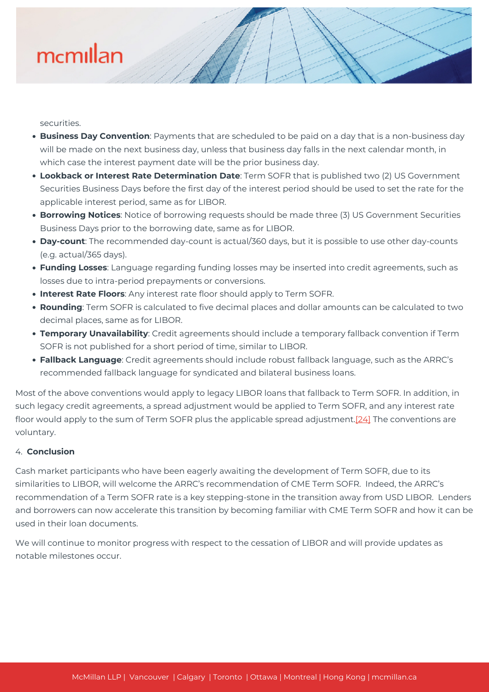securities.

- **Business Day Convention**: Payments that are scheduled to be paid on a day that is a non-business day will be made on the next business day, unless that business day falls in the next calendar month, in which case the interest payment date will be the prior business day.
- **Lookback or Interest Rate Determination Date**: Term SOFR that is published two (2) US Government Securities Business Days before the first day of the interest period should be used to set the rate for the applicable interest period, same as for LIBOR.
- **Borrowing Notices**: Notice of borrowing requests should be made three (3) US Government Securities Business Days prior to the borrowing date, same as for LIBOR.
- **Day-count**: The recommended day-count is actual/360 days, but it is possible to use other day-counts (e.g. actual/365 days).
- **Funding Losses**: Language regarding funding losses may be inserted into credit agreements, such as losses due to intra-period prepayments or conversions.
- **Interest Rate Floors**: Any interest rate floor should apply to Term SOFR.
- **Rounding**: Term SOFR is calculated to five decimal places and dollar amounts can be calculated to two decimal places, same as for LIBOR.
- **Temporary Unavailability**: Credit agreements should include a temporary fallback convention if Term SOFR is not published for a short period of time, similar to LIBOR.
- **Fallback Language**: Credit agreements should include robust fallback language, such as the ARRC's recommended fallback language for syndicated and bilateral business loans.

Most of the above conventions would apply to legacy LIBOR loans that fallback to Term SOFR. In addition, in such legacy credit agreements, a spread adjustment would be applied to Term SOFR, and any interest rate floor would apply to the sum of Term SOFR plus the applicable spread adjustment.[\[24\]](#page--1-0) The conventions are voluntary.

### 4. **Conclusion**

Cash market participants who have been eagerly awaiting the development of Term SOFR, due to its similarities to LIBOR, will welcome the ARRC's recommendation of CME Term SOFR. Indeed, the ARRC's recommendation of a Term SOFR rate is a key stepping-stone in the transition away from USD LIBOR. Lenders and borrowers can now accelerate this transition by becoming familiar with CME Term SOFR and how it can be used in their loan documents.

We will continue to monitor progress with respect to the cessation of LIBOR and will provide updates as notable milestones occur.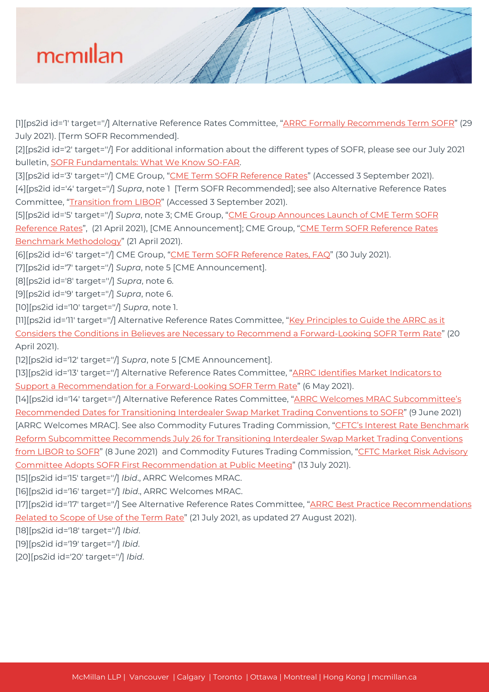

[1][ps2id id='1' target="/] Alternative Reference Rates Committee, "[ARRC Formally Recommends Term SOFR](https://www.newyorkfed.org/medialibrary/Microsites/arrc/files/2021/ARRC_Press_Release_Term_SOFR.pdf)" (29 July 2021). [Term SOFR Recommended].

[2][ps2id id='2' target=''/] For additional information about the different types of SOFR, please see our July 2021 bulletin, [SOFR Fundamentals: What We Know SO-FAR.](https://mcmillan.ca/insights/sofr-fundamentals-what-we-know-so-far/)

[3][ps2id id='3' target="/] CME Group, "[CME Term SOFR Reference Rates"](https://www.cmegroup.com/market-data/cme-group-benchmark-administration/term-sofr.html) (Accessed 3 September 2021).

[4][ps2id id='4' target=''/] *Supra*, note 1 [Term SOFR Recommended]; see also Alternative Reference Rates Committee, "[Transition from LIBOR](https://www.newyorkfed.org/arrc/sofr-transition#pacedtransition)" (Accessed 3 September 2021).

[5][ps2id id='5' target=''/] *Supra*, note 3; CME Group, ["CME Group Announces Launch of CME Term SOFR](https://www.cmegroup.com/media-room/press-releases/2021/4/21/cme_group_announceslaunchofcmetermsofrreferencerates.html) [Reference Rates"](https://www.cmegroup.com/media-room/press-releases/2021/4/21/cme_group_announceslaunchofcmetermsofrreferencerates.html), (21 April 2021), [CME Announcement]; CME Group, "[CME Term SOFR Reference Rates](https://www.cmegroup.com/market-data/files/cme-term-sofr-reference-rates-benchmark-methodology.pdf) [Benchmark Methodology"](https://www.cmegroup.com/market-data/files/cme-term-sofr-reference-rates-benchmark-methodology.pdf) (21 April 2021).

[6][ps2id id='6' target=''/] CME Group, "[CME Term SOFR Reference Rates, FAQ](https://www.cmegroup.com/market-data/files/cme-term-sofr-reference-rates-faq.pdf)" (30 July 2021).

[7][ps2id id='7' target=''/] *Supra*, note 5 [CME Announcement].

[8][ps2id id='8' target=''/] *Supra*, note 6.

[9][ps2id id='9' target=''/] *Supra*, note 6.

[10][ps2id id='10' target=''/] *Supra*, note 1.

[11][ps2id id='11' target="/] Alternative Reference Rates Committee, ["Key Principles to Guide the ARRC as it](https://www.newyorkfed.org/medialibrary/Microsites/arrc/files/2021/20210420-term-rate-key-principles) [Considers the Conditions in Believes are Necessary to Recommend a Forward-Looking SOFR Term Rate"](https://www.newyorkfed.org/medialibrary/Microsites/arrc/files/2021/20210420-term-rate-key-principles) (20 April 2021).

[12][ps2id id='12' target=''/] *Supra*, note 5 [CME Announcement].

[13][ps2id id='13' target="/] Alternative Reference Rates Committee, ["ARRC Identifies Market Indicators to](https://www.newyorkfed.org/medialibrary/Microsites/arrc/ files/2021/20210506-term-rate-indicators-press-release) [Support a Recommendation for a Forward-Looking SOFR Term Rate](https://www.newyorkfed.org/medialibrary/Microsites/arrc/ files/2021/20210506-term-rate-indicators-press-release)" (6 May 2021).

[14][ps2id id='14' target="/] Alternative Reference Rates Committee, ["ARRC Welcomes MRAC Subcommittee's](https://www.newyorkfed.org/medialibrary/Microsites/arrc/files/2021/20210608-arrc-release-supporting-mrac-announcement-final) [Recommended Dates for Transitioning Interdealer Swap Market Trading Conventions to SOFR"](https://www.newyorkfed.org/medialibrary/Microsites/arrc/files/2021/20210608-arrc-release-supporting-mrac-announcement-final) (9 June 2021) [ARRC Welcomes MRAC]. See also Commodity Futures Trading Commission, ["CFTC's Interest Rate Benchmark](https://www.cftc.gov/PressRoom/PressReleases/8394-21) [Reform Subcommittee Recommends July 26 for Transitioning Interdealer Swap Market Trading Conventions](https://www.cftc.gov/PressRoom/PressReleases/8394-21) [from LIBOR to SOFR](https://www.cftc.gov/PressRoom/PressReleases/8394-21)" (8 June 2021) and Commodity Futures Trading Commission, ["CFTC Market Risk Advisory](https://www.cftc.gov/PressRoom/PressReleases/8409-21) [Committee Adopts SOFR First Recommendation at Public Meeting](https://www.cftc.gov/PressRoom/PressReleases/8409-21)" (13 July 2021).

[15][ps2id id='15' target=''/] *Ibid*., ARRC Welcomes MRAC.

[16][ps2id id='16' target=''/] *Ibid*., ARRC Welcomes MRAC.

[17][ps2id id='17' target="/] See Alternative Reference Rates Committee, ["ARRC Best Practice Recommendations](https://www.newyorkfed.org/medialibrary/Microsites/arrc/files/2021/ARRC_Scope_of_Use.pdf) [Related to Scope of Use of the Term Rate](https://www.newyorkfed.org/medialibrary/Microsites/arrc/files/2021/ARRC_Scope_of_Use.pdf)" (21 July 2021, as updated 27 August 2021).

[18][ps2id id='18' target=''/] *Ibid*.

[19][ps2id id='19' target=''/] *Ibid*.

[20][ps2id id='20' target=''/] *Ibid*.